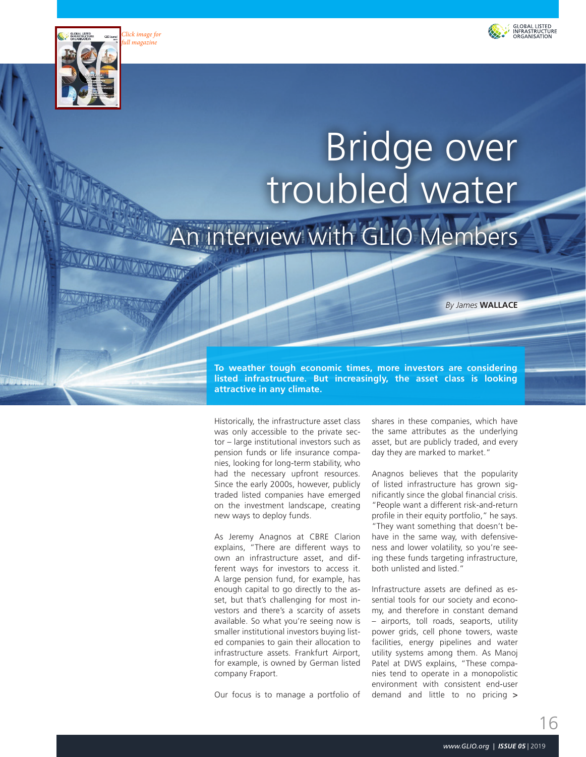

*[Click image for](https://en.calameo.com/read/005185466c0357da9cd9e)  full magazine*

**LANDA** 



# Bridge over troubled water interview with GLIO Members

*By James* **WALLACE**

**To weather tough economic times, more investors are considering listed infrastructure. But increasingly, the asset class is looking attractive in any climate.**

Historically, the infrastructure asset class was only accessible to the private sector – large institutional investors such as pension funds or life insurance companies, looking for long-term stability, who had the necessary upfront resources. Since the early 2000s, however, publicly traded listed companies have emerged on the investment landscape, creating new ways to deploy funds.

As Jeremy Anagnos at CBRE Clarion explains, "There are different ways to own an infrastructure asset, and different ways for investors to access it. A large pension fund, for example, has enough capital to go directly to the asset, but that's challenging for most investors and there's a scarcity of assets available. So what you're seeing now is smaller institutional investors buying listed companies to gain their allocation to infrastructure assets. Frankfurt Airport, for example, is owned by German listed company Fraport.

Our focus is to manage a portfolio of

shares in these companies, which have the same attributes as the underlying asset, but are publicly traded, and every day they are marked to market."

Anagnos believes that the popularity of listed infrastructure has grown significantly since the global financial crisis. "People want a different risk-and-return profile in their equity portfolio," he says. "They want something that doesn't behave in the same way, with defensiveness and lower volatility, so you're seeing these funds targeting infrastructure, both unlisted and listed."

Infrastructure assets are defined as essential tools for our society and economy, and therefore in constant demand – airports, toll roads, seaports, utility power grids, cell phone towers, waste facilities, energy pipelines and water utility systems among them. As Manoj Patel at DWS explains, "These companies tend to operate in a monopolistic environment with consistent end-user demand and little to no pricing >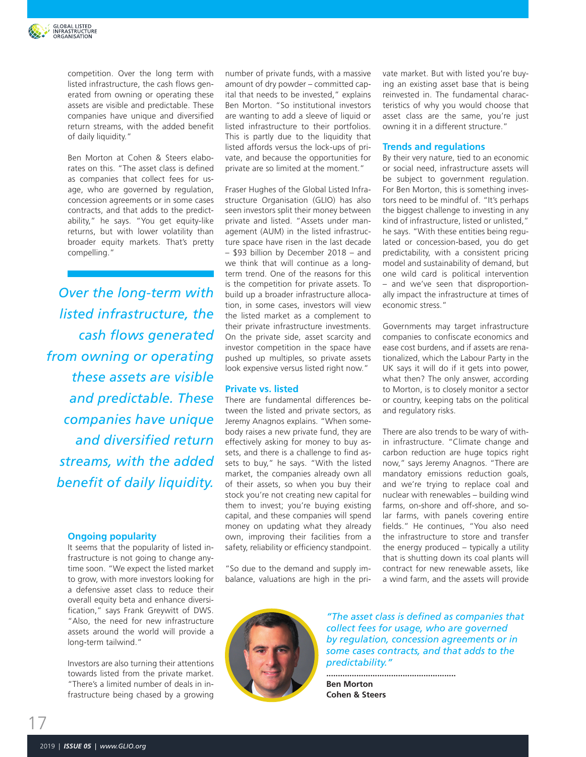

competition. Over the long term with listed infrastructure, the cash flows generated from owning or operating these assets are visible and predictable. These companies have unique and diversified return streams, with the added benefit of daily liquidity."

Ben Morton at Cohen & Steers elaborates on this. "The asset class is defined as companies that collect fees for usage, who are governed by regulation, concession agreements or in some cases contracts, and that adds to the predictability," he says. "You get equity-like returns, but with lower volatility than broader equity markets. That's pretty compelling."

*Over the long-term with listed infrastructure, the cash flows generated from owning or operating these assets are visible and predictable. These companies have unique and diversified return streams, with the added benefit of daily liquidity.*

#### **Ongoing popularity**

It seems that the popularity of listed infrastructure is not going to change anytime soon. "We expect the listed market to grow, with more investors looking for a defensive asset class to reduce their overall equity beta and enhance diversification," says Frank Greywitt of DWS. "Also, the need for new infrastructure assets around the world will provide a long-term tailwind."

Investors are also turning their attentions towards listed from the private market. "There's a limited number of deals in infrastructure being chased by a growing number of private funds, with a massive amount of dry powder – committed capital that needs to be invested," explains Ben Morton. "So institutional investors are wanting to add a sleeve of liquid or listed infrastructure to their portfolios. This is partly due to the liquidity that listed affords versus the lock-ups of private, and because the opportunities for private are so limited at the moment."

Fraser Hughes of the Global Listed Infrastructure Organisation (GLIO) has also seen investors split their money between private and listed. "Assets under management (AUM) in the listed infrastructure space have risen in the last decade – \$93 billion by December 2018 – and we think that will continue as a longterm trend. One of the reasons for this is the competition for private assets. To build up a broader infrastructure allocation, in some cases, investors will view the listed market as a complement to their private infrastructure investments. On the private side, asset scarcity and investor competition in the space have pushed up multiples, so private assets look expensive versus listed right now."

### **Private vs. listed**

There are fundamental differences between the listed and private sectors, as Jeremy Anagnos explains. "When somebody raises a new private fund, they are effectively asking for money to buy assets, and there is a challenge to find assets to buy," he says. "With the listed market, the companies already own all of their assets, so when you buy their stock you're not creating new capital for them to invest; you're buying existing capital, and these companies will spend money on updating what they already own, improving their facilities from a safety, reliability or efficiency standpoint.

"So due to the demand and supply imbalance, valuations are high in the private market. But with listed you're buying an existing asset base that is being reinvested in. The fundamental characteristics of why you would choose that asset class are the same, you're just owning it in a different structure."

#### **Trends and regulations**

By their very nature, tied to an economic or social need, infrastructure assets will be subject to government regulation. For Ben Morton, this is something investors need to be mindful of. "It's perhaps the biggest challenge to investing in any kind of infrastructure, listed or unlisted," he says. "With these entities being regulated or concession-based, you do get predictability, with a consistent pricing model and sustainability of demand, but one wild card is political intervention – and we've seen that disproportionally impact the infrastructure at times of economic stress."

Governments may target infrastructure companies to confiscate economics and ease cost burdens, and if assets are renationalized, which the Labour Party in the UK says it will do if it gets into power, what then? The only answer, according to Morton, is to closely monitor a sector or country, keeping tabs on the political and regulatory risks.

There are also trends to be wary of within infrastructure. "Climate change and carbon reduction are huge topics right now," says Jeremy Anagnos. "There are mandatory emissions reduction goals, and we're trying to replace coal and nuclear with renewables – building wind farms, on-shore and off-shore, and solar farms, with panels covering entire fields." He continues, "You also need the infrastructure to store and transfer the energy produced – typically a utility that is shutting down its coal plants will contract for new renewable assets, like a wind farm, and the assets will provide

*"The asset class is defined as companies that collect fees for usage, who are governed by regulation, concession agreements or in some cases contracts, and that adds to the predictability."*

**........................................................ Ben Morton Cohen & Steers**

17